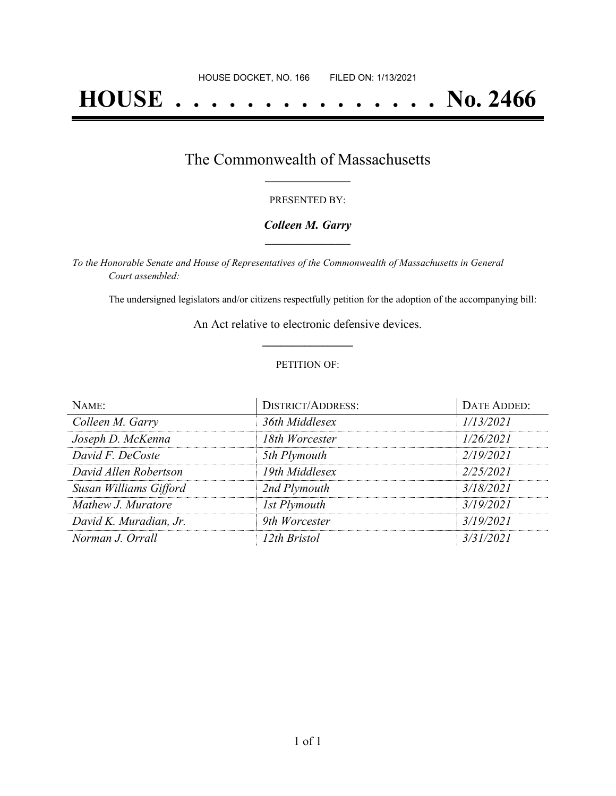# **HOUSE . . . . . . . . . . . . . . . No. 2466**

## The Commonwealth of Massachusetts **\_\_\_\_\_\_\_\_\_\_\_\_\_\_\_\_\_**

#### PRESENTED BY:

#### *Colleen M. Garry* **\_\_\_\_\_\_\_\_\_\_\_\_\_\_\_\_\_**

*To the Honorable Senate and House of Representatives of the Commonwealth of Massachusetts in General Court assembled:*

The undersigned legislators and/or citizens respectfully petition for the adoption of the accompanying bill:

An Act relative to electronic defensive devices. **\_\_\_\_\_\_\_\_\_\_\_\_\_\_\_**

#### PETITION OF:

| NAME:                  | <b>DISTRICT/ADDRESS:</b> | DATE ADDED: |
|------------------------|--------------------------|-------------|
| Colleen M. Garry       | 36th Middlesex           | 1/13/2021   |
| Joseph D. McKenna      | 18th Worcester           | 1/26/2021   |
| David F. DeCoste       | 5th Plymouth             | 2/19/2021   |
| David Allen Robertson  | 19th Middlesex           | 2/25/2021   |
| Susan Williams Gifford | 2nd Plymouth             | 3/18/2021   |
| Mathew J. Muratore     | 1st Plymouth             | 3/19/2021   |
| David K. Muradian, Jr. | 9th Worcester            | 3/19/2021   |
| Norman J. Orrall       | 12th Bristol             | 3/31/2021   |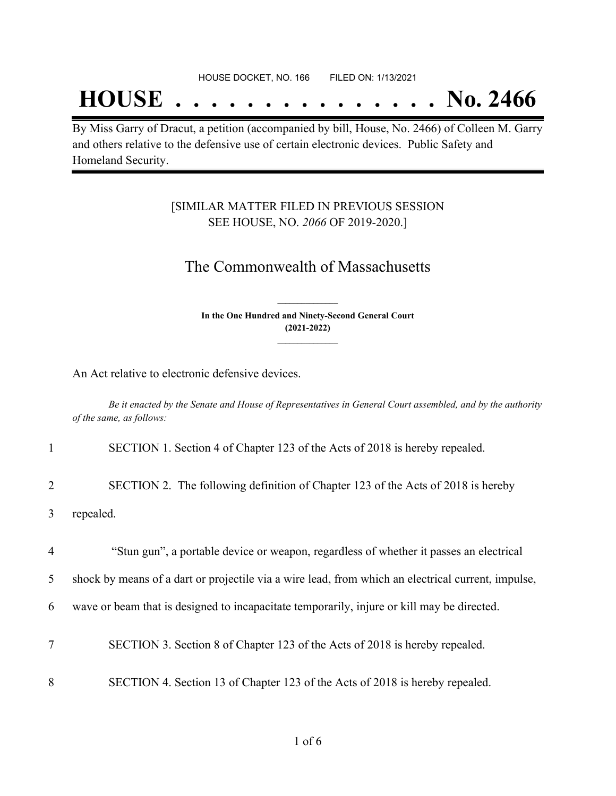## **HOUSE . . . . . . . . . . . . . . . No. 2466**

By Miss Garry of Dracut, a petition (accompanied by bill, House, No. 2466) of Colleen M. Garry and others relative to the defensive use of certain electronic devices. Public Safety and Homeland Security.

### [SIMILAR MATTER FILED IN PREVIOUS SESSION SEE HOUSE, NO. *2066* OF 2019-2020.]

## The Commonwealth of Massachusetts

**In the One Hundred and Ninety-Second General Court (2021-2022) \_\_\_\_\_\_\_\_\_\_\_\_\_\_\_**

**\_\_\_\_\_\_\_\_\_\_\_\_\_\_\_**

An Act relative to electronic defensive devices.

Be it enacted by the Senate and House of Representatives in General Court assembled, and by the authority *of the same, as follows:*

| $\mathbf{1}$   | SECTION 1. Section 4 of Chapter 123 of the Acts of 2018 is hereby repealed.                        |
|----------------|----------------------------------------------------------------------------------------------------|
| 2              | SECTION 2. The following definition of Chapter 123 of the Acts of 2018 is hereby                   |
| 3              | repealed.                                                                                          |
| $\overline{4}$ | "Stun gun", a portable device or weapon, regardless of whether it passes an electrical             |
| 5              | shock by means of a dart or projectile via a wire lead, from which an electrical current, impulse, |
| 6              | wave or beam that is designed to incapacitate temporarily, injure or kill may be directed.         |
| $\overline{7}$ | SECTION 3. Section 8 of Chapter 123 of the Acts of 2018 is hereby repealed.                        |
| 8              | SECTION 4. Section 13 of Chapter 123 of the Acts of 2018 is hereby repealed.                       |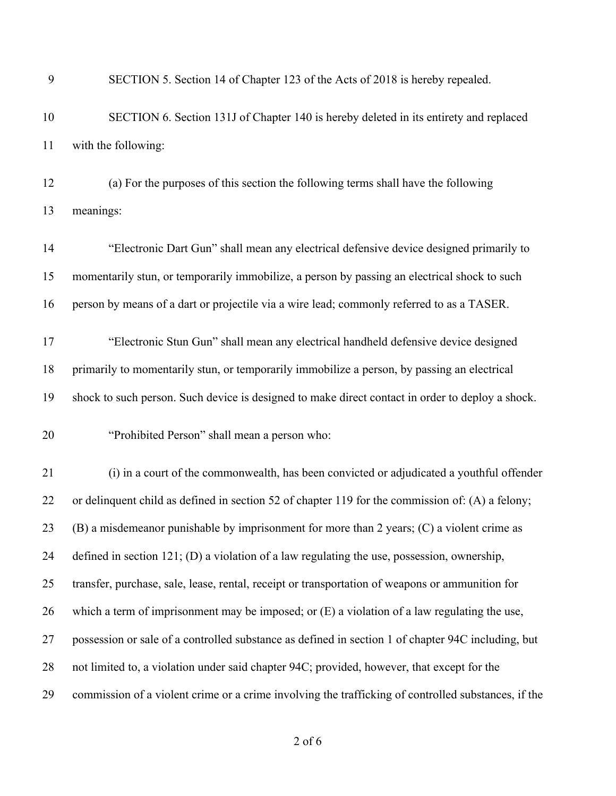| 9  | SECTION 5. Section 14 of Chapter 123 of the Acts of 2018 is hereby repealed.                        |
|----|-----------------------------------------------------------------------------------------------------|
| 10 | SECTION 6. Section 131J of Chapter 140 is hereby deleted in its entirety and replaced               |
| 11 | with the following:                                                                                 |
| 12 | (a) For the purposes of this section the following terms shall have the following                   |
| 13 | meanings:                                                                                           |
| 14 | "Electronic Dart Gun" shall mean any electrical defensive device designed primarily to              |
| 15 | momentarily stun, or temporarily immobilize, a person by passing an electrical shock to such        |
| 16 | person by means of a dart or projectile via a wire lead; commonly referred to as a TASER.           |
| 17 | "Electronic Stun Gun" shall mean any electrical handheld defensive device designed                  |
| 18 | primarily to momentarily stun, or temporarily immobilize a person, by passing an electrical         |
| 19 | shock to such person. Such device is designed to make direct contact in order to deploy a shock.    |
| 20 | "Prohibited Person" shall mean a person who:                                                        |
| 21 | (i) in a court of the commonwealth, has been convicted or adjudicated a youthful offender           |
| 22 | or delinquent child as defined in section 52 of chapter 119 for the commission of: (A) a felony;    |
| 23 | (B) a misdemeanor punishable by imprisonment for more than 2 years; (C) a violent crime as          |
| 24 | defined in section $121$ ; (D) a violation of a law regulating the use, possession, ownership,      |
| 25 | transfer, purchase, sale, lease, rental, receipt or transportation of weapons or ammunition for     |
| 26 | which a term of imprisonment may be imposed; or $(E)$ a violation of a law regulating the use,      |
| 27 | possession or sale of a controlled substance as defined in section 1 of chapter 94C including, but  |
| 28 | not limited to, a violation under said chapter 94C; provided, however, that except for the          |
| 29 | commission of a violent crime or a crime involving the trafficking of controlled substances, if the |
|    |                                                                                                     |

of 6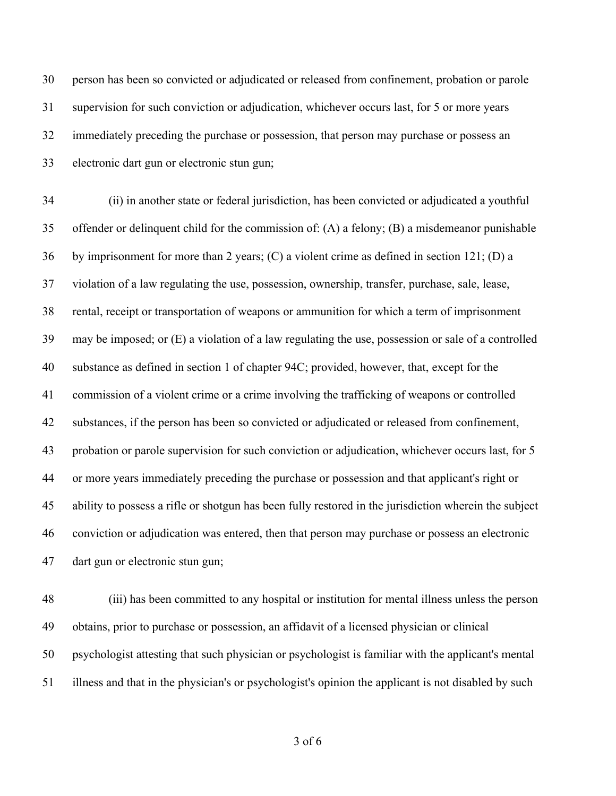person has been so convicted or adjudicated or released from confinement, probation or parole supervision for such conviction or adjudication, whichever occurs last, for 5 or more years immediately preceding the purchase or possession, that person may purchase or possess an electronic dart gun or electronic stun gun;

 (ii) in another state or federal jurisdiction, has been convicted or adjudicated a youthful offender or delinquent child for the commission of: (A) a felony; (B) a misdemeanor punishable by imprisonment for more than 2 years; (C) a violent crime as defined in section 121; (D) a violation of a law regulating the use, possession, ownership, transfer, purchase, sale, lease, rental, receipt or transportation of weapons or ammunition for which a term of imprisonment may be imposed; or (E) a violation of a law regulating the use, possession or sale of a controlled substance as defined in section 1 of chapter 94C; provided, however, that, except for the commission of a violent crime or a crime involving the trafficking of weapons or controlled substances, if the person has been so convicted or adjudicated or released from confinement, probation or parole supervision for such conviction or adjudication, whichever occurs last, for 5 or more years immediately preceding the purchase or possession and that applicant's right or ability to possess a rifle or shotgun has been fully restored in the jurisdiction wherein the subject conviction or adjudication was entered, then that person may purchase or possess an electronic dart gun or electronic stun gun;

 (iii) has been committed to any hospital or institution for mental illness unless the person obtains, prior to purchase or possession, an affidavit of a licensed physician or clinical psychologist attesting that such physician or psychologist is familiar with the applicant's mental illness and that in the physician's or psychologist's opinion the applicant is not disabled by such

of 6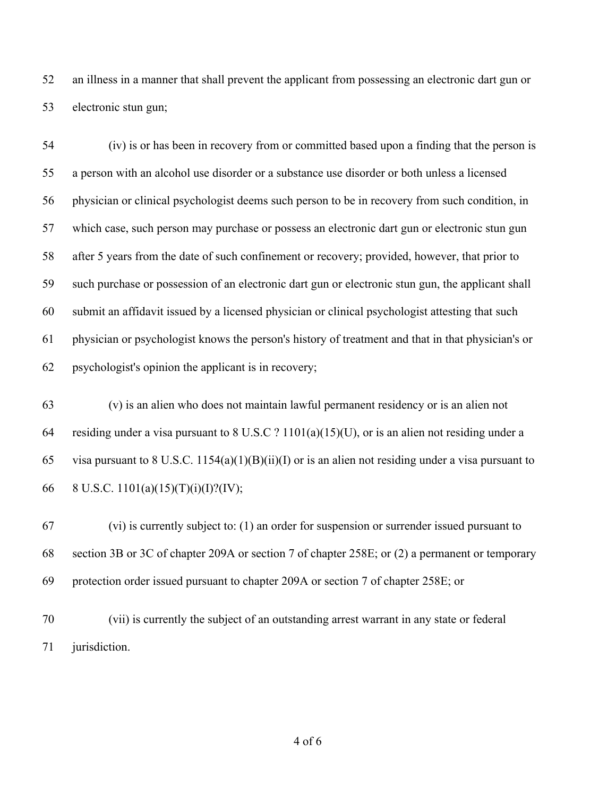an illness in a manner that shall prevent the applicant from possessing an electronic dart gun or electronic stun gun;

 (iv) is or has been in recovery from or committed based upon a finding that the person is a person with an alcohol use disorder or a substance use disorder or both unless a licensed physician or clinical psychologist deems such person to be in recovery from such condition, in which case, such person may purchase or possess an electronic dart gun or electronic stun gun after 5 years from the date of such confinement or recovery; provided, however, that prior to such purchase or possession of an electronic dart gun or electronic stun gun, the applicant shall submit an affidavit issued by a licensed physician or clinical psychologist attesting that such physician or psychologist knows the person's history of treatment and that in that physician's or psychologist's opinion the applicant is in recovery;

 (v) is an alien who does not maintain lawful permanent residency or is an alien not residing under a visa pursuant to 8 U.S.C ? 1101(a)(15)(U), or is an alien not residing under a 65 visa pursuant to 8 U.S.C. 1154(a)(1)(B)(ii)(I) or is an alien not residing under a visa pursuant to 66 8 U.S.C. 1101(a)(15)(T)(i)(I)?(IV);

 (vi) is currently subject to: (1) an order for suspension or surrender issued pursuant to section 3B or 3C of chapter 209A or section 7 of chapter 258E; or (2) a permanent or temporary protection order issued pursuant to chapter 209A or section 7 of chapter 258E; or

 (vii) is currently the subject of an outstanding arrest warrant in any state or federal jurisdiction.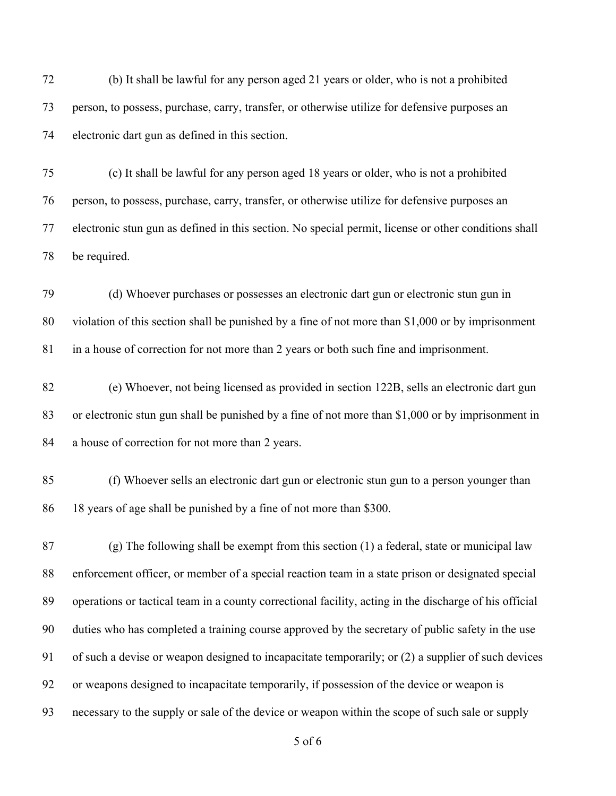(b) It shall be lawful for any person aged 21 years or older, who is not a prohibited person, to possess, purchase, carry, transfer, or otherwise utilize for defensive purposes an electronic dart gun as defined in this section.

 (c) It shall be lawful for any person aged 18 years or older, who is not a prohibited person, to possess, purchase, carry, transfer, or otherwise utilize for defensive purposes an electronic stun gun as defined in this section. No special permit, license or other conditions shall be required.

 (d) Whoever purchases or possesses an electronic dart gun or electronic stun gun in violation of this section shall be punished by a fine of not more than \$1,000 or by imprisonment in a house of correction for not more than 2 years or both such fine and imprisonment.

 (e) Whoever, not being licensed as provided in section 122B, sells an electronic dart gun or electronic stun gun shall be punished by a fine of not more than \$1,000 or by imprisonment in a house of correction for not more than 2 years.

 (f) Whoever sells an electronic dart gun or electronic stun gun to a person younger than 18 years of age shall be punished by a fine of not more than \$300.

 (g) The following shall be exempt from this section (1) a federal, state or municipal law enforcement officer, or member of a special reaction team in a state prison or designated special operations or tactical team in a county correctional facility, acting in the discharge of his official duties who has completed a training course approved by the secretary of public safety in the use of such a devise or weapon designed to incapacitate temporarily; or (2) a supplier of such devices or weapons designed to incapacitate temporarily, if possession of the device or weapon is necessary to the supply or sale of the device or weapon within the scope of such sale or supply

of 6